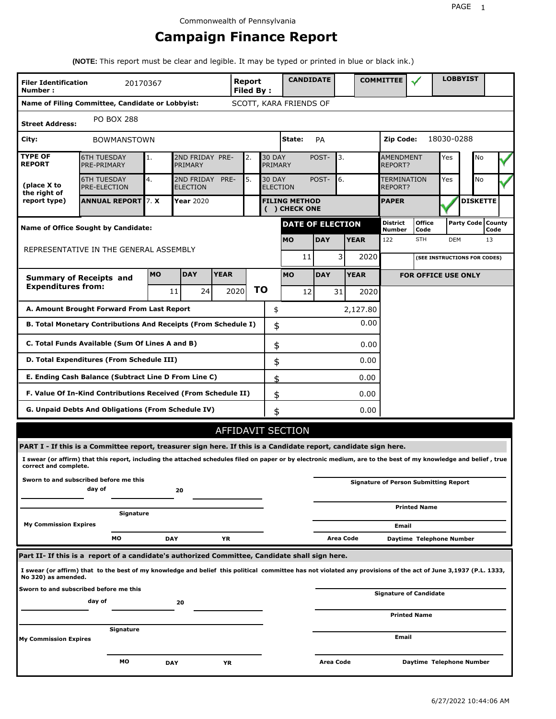# **Campaign Finance Report**

**(NOTE:** This report must be clear and legible. It may be typed or printed in blue or black ink.)

| <b>Filer Identification</b>                                                                                                                                                              |                                                                                                                 | 20170367           |            |                            |             | Report          |               |                        |    | <b>CANDIDATE</b>        |                               | <b>COMMITTEE</b>          |                                              |                 | <b>LOBBYIST</b>              |                |
|------------------------------------------------------------------------------------------------------------------------------------------------------------------------------------------|-----------------------------------------------------------------------------------------------------------------|--------------------|------------|----------------------------|-------------|-----------------|---------------|------------------------|----|-------------------------|-------------------------------|---------------------------|----------------------------------------------|-----------------|------------------------------|----------------|
| Number:                                                                                                                                                                                  |                                                                                                                 |                    |            |                            |             | Filed By:       |               |                        |    |                         |                               |                           |                                              |                 |                              |                |
| Name of Filing Committee, Candidate or Lobbyist:                                                                                                                                         |                                                                                                                 |                    |            |                            |             |                 |               | SCOTT, KARA FRIENDS OF |    |                         |                               |                           |                                              |                 |                              |                |
| <b>Street Address:</b>                                                                                                                                                                   | <b>PO BOX 288</b>                                                                                               |                    |            |                            |             |                 |               |                        |    |                         |                               |                           |                                              |                 |                              |                |
| City:                                                                                                                                                                                    |                                                                                                                 | <b>BOWMANSTOWN</b> |            |                            |             |                 |               | State:                 |    | <b>PA</b>               |                               | Zip Code:<br>18030-0288   |                                              |                 |                              |                |
| <b>TYPE OF</b><br><b>REPORT</b>                                                                                                                                                          | <b>6TH TUESDAY</b><br>PRE-PRIMARY                                                                               |                    | 1.         | 2ND FRIDAY PRE-<br>PRIMARY |             | 2.              | <b>30 DAY</b> | <b>PRIMARY</b>         |    | 3.<br>POST-             |                               |                           | <b>AMENDMENT</b><br>REPORT?                  |                 | No                           |                |
| (place X to<br>the right of                                                                                                                                                              | 4.<br>5.<br><b>6TH TUESDAY</b><br>2ND FRIDAY<br>PRE-<br><b>30 DAY</b><br><b>PRE-ELECTION</b><br><b>ELECTION</b> |                    |            |                            |             | <b>ELECTION</b> |               | POST-<br>6.            |    |                         | <b>TERMINATION</b><br>REPORT? |                           | No                                           |                 |                              |                |
| report type)                                                                                                                                                                             | 7. X<br>Year 2020<br><b>ANNUAL REPORT</b><br><b>FILING METHOD</b><br>( ) CHECK ONE                              |                    |            |                            |             |                 |               |                        |    |                         | <b>PAPER</b>                  |                           |                                              | <b>DISKETTE</b> |                              |                |
| <b>Name of Office Sought by Candidate:</b>                                                                                                                                               |                                                                                                                 |                    |            |                            |             |                 |               |                        |    | <b>DATE OF ELECTION</b> |                               | <b>District</b><br>Number | <b>Office</b><br>Code                        |                 | Party Code                   | County<br>Code |
| REPRESENTATIVE IN THE GENERAL ASSEMBLY                                                                                                                                                   |                                                                                                                 |                    |            |                            |             |                 |               | <b>MO</b>              |    | <b>DAY</b>              | <b>YEAR</b>                   | 122                       | <b>STH</b>                                   | <b>DEM</b>      |                              | 13             |
|                                                                                                                                                                                          |                                                                                                                 |                    |            |                            |             |                 |               |                        | 11 | 3                       | 2020                          |                           |                                              |                 | (SEE INSTRUCTIONS FOR CODES) |                |
| <b>Summary of Receipts and</b>                                                                                                                                                           |                                                                                                                 |                    | <b>MO</b>  | <b>DAY</b>                 | <b>YEAR</b> |                 |               | <b>MO</b>              |    | <b>DAY</b>              | <b>YEAR</b>                   |                           | <b>FOR OFFICE USE ONLY</b>                   |                 |                              |                |
| <b>Expenditures from:</b>                                                                                                                                                                |                                                                                                                 |                    |            | 11<br>24                   |             | 2020            | <b>TO</b>     |                        | 12 | 31                      | 2020                          |                           |                                              |                 |                              |                |
| A. Amount Brought Forward From Last Report                                                                                                                                               |                                                                                                                 |                    |            |                            |             | \$              |               |                        |    | 2,127.80                |                               |                           |                                              |                 |                              |                |
| B. Total Monetary Contributions And Receipts (From Schedule I)                                                                                                                           |                                                                                                                 |                    |            |                            |             |                 |               | \$                     |    |                         | 0.00                          |                           |                                              |                 |                              |                |
| C. Total Funds Available (Sum Of Lines A and B)                                                                                                                                          |                                                                                                                 |                    |            |                            |             |                 |               | \$                     |    |                         | 0.00                          |                           |                                              |                 |                              |                |
| D. Total Expenditures (From Schedule III)                                                                                                                                                |                                                                                                                 |                    |            |                            |             |                 |               | \$                     |    |                         | 0.00                          |                           |                                              |                 |                              |                |
| E. Ending Cash Balance (Subtract Line D From Line C)                                                                                                                                     |                                                                                                                 |                    |            |                            |             |                 |               | \$                     |    |                         | 0.00                          |                           |                                              |                 |                              |                |
| F. Value Of In-Kind Contributions Received (From Schedule II)                                                                                                                            |                                                                                                                 |                    |            |                            |             |                 |               | \$                     |    |                         | 0.00                          |                           |                                              |                 |                              |                |
| G. Unpaid Debts And Obligations (From Schedule IV)                                                                                                                                       |                                                                                                                 |                    |            |                            |             |                 |               | \$                     |    |                         | 0.00                          |                           |                                              |                 |                              |                |
|                                                                                                                                                                                          |                                                                                                                 |                    |            |                            |             |                 |               | AFFIDAVIT SECTION      |    |                         |                               |                           |                                              |                 |                              |                |
| PART I - If this is a Committee report, treasurer sign here. If this is a Candidate report, candidate sign here.                                                                         |                                                                                                                 |                    |            |                            |             |                 |               |                        |    |                         |                               |                           |                                              |                 |                              |                |
| I swear (or affirm) that this report, including the attached schedules filed on paper or by electronic medium, are to the best of my knowledge and belief, true<br>correct and complete. |                                                                                                                 |                    |            |                            |             |                 |               |                        |    |                         |                               |                           |                                              |                 |                              |                |
| Sworn to and subscribed before me this                                                                                                                                                   | dav of                                                                                                          |                    |            | 20                         |             |                 |               |                        |    |                         |                               |                           | <b>Signature of Person Submitting Report</b> |                 |                              |                |
|                                                                                                                                                                                          |                                                                                                                 | Signature          |            |                            |             |                 |               |                        |    |                         |                               |                           | <b>Printed Name</b>                          |                 |                              |                |
| <b>My Commission Expires</b>                                                                                                                                                             |                                                                                                                 |                    |            |                            |             |                 |               |                        |    |                         |                               | Email                     |                                              |                 |                              |                |
|                                                                                                                                                                                          | MО                                                                                                              |                    | <b>DAY</b> |                            | YR          |                 |               |                        |    | Area Code               |                               |                           | Daytime Telephone Number                     |                 |                              |                |
| Part II- If this is a  report of a candidate's authorized Committee, Candidate shall sign here.                                                                                          |                                                                                                                 |                    |            |                            |             |                 |               |                        |    |                         |                               |                           |                                              |                 |                              |                |
| I swear (or affirm) that to the best of my knowledge and belief this political committee has not violated any provisions of the act of June 3,1937 (P.L. 1333,<br>No 320) as amended.    |                                                                                                                 |                    |            |                            |             |                 |               |                        |    |                         |                               |                           |                                              |                 |                              |                |
| Sworn to and subscribed before me this                                                                                                                                                   |                                                                                                                 |                    |            |                            |             |                 |               |                        |    |                         |                               |                           | <b>Signature of Candidate</b>                |                 |                              |                |
|                                                                                                                                                                                          | day of                                                                                                          |                    |            | 20                         |             |                 |               |                        |    |                         |                               |                           | <b>Printed Name</b>                          |                 |                              |                |
|                                                                                                                                                                                          |                                                                                                                 | Signature          |            |                            |             |                 |               |                        |    |                         |                               |                           |                                              |                 |                              |                |
| <b>My Commission Expires</b>                                                                                                                                                             |                                                                                                                 |                    |            |                            |             |                 |               |                        |    |                         |                               | Email                     |                                              |                 |                              |                |
|                                                                                                                                                                                          |                                                                                                                 | МO                 | <b>DAY</b> |                            | ΥR          |                 |               |                        |    | Area Code               |                               |                           | Daytime Telephone Number                     |                 |                              |                |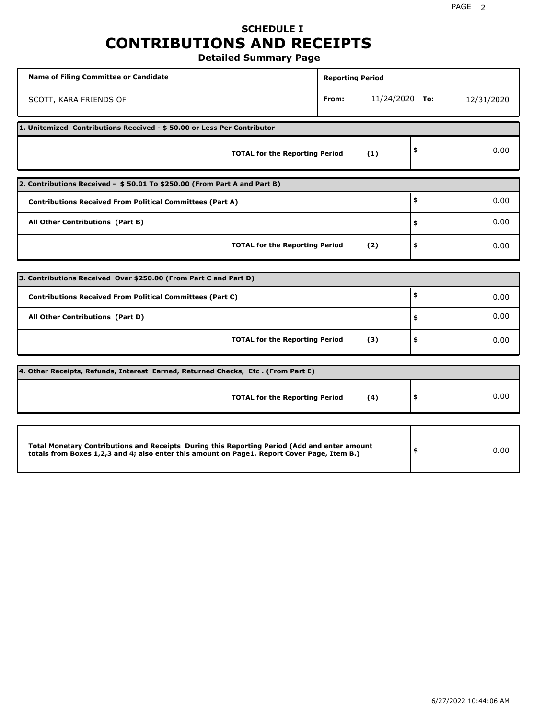## **SCHEDULE I CONTRIBUTIONS AND RECEIPTS Detailed Summary Page**

**Name of Filing Committee or Candidate Reporting Period Reporting Period** SCOTT, KARA FRIENDS OF **From:** 11/24/2020 **To:** 12/31/2020 **1. Unitemized Contributions Received - \$ 50.00 or Less Per Contributor TOTAL for the Reporting Period (1) \$** 0.00 **2. Contributions Received - \$ 50.01 To \$250.00 (From Part A and Part B) TOTAL for the Reporting Period (2) Contributions Received From Political Committees (Part A) All Other Contributions (Part B) \$ \$ \$** 0.00 0.00 0.00 **3. Contributions Received Over \$250.00 (From Part C and Part D) TOTAL for the Reporting Period (3) Contributions Received From Political Committees (Part C) All Other Contributions (Part D) \$ \$ \$** 0.00 0.00 0.00 **4. Other Receipts, Refunds, Interest Earned, Returned Checks, Etc . (From Part E) TOTAL for the Reporting Period (4) \$** 0.00 **Total Monetary Contributions and Receipts During this Reporting Period (Add and enter amount totals from Boxes 1,2,3 and 4; also enter this amount on Page1, Report Cover Page, Item B.) \$** 0.00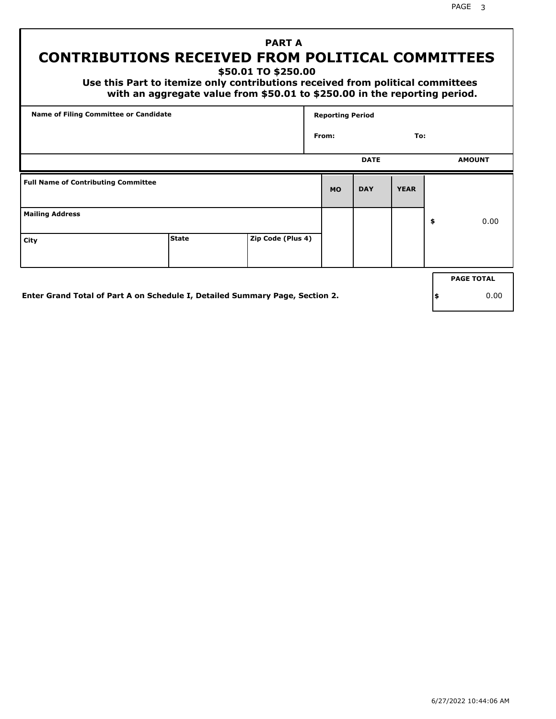PAGE 3

# **PART A CONTRIBUTIONS RECEIVED FROM POLITICAL COMMITTEES**

**\$50.01 TO \$250.00**

 **Use this Part to itemize only contributions received from political committees with an aggregate value from \$50.01 to \$250.00 in the reporting period.**

|                                            | Name of Filing Committee or Candidate |                   |           |             |             |                   |
|--------------------------------------------|---------------------------------------|-------------------|-----------|-------------|-------------|-------------------|
|                                            |                                       |                   | From:     |             | To:         |                   |
|                                            |                                       |                   |           | <b>DATE</b> |             | <b>AMOUNT</b>     |
| <b>Full Name of Contributing Committee</b> |                                       |                   | <b>MO</b> | <b>DAY</b>  | <b>YEAR</b> |                   |
| <b>Mailing Address</b>                     |                                       |                   |           |             |             | \$<br>0.00        |
| City                                       | <b>State</b>                          | Zip Code (Plus 4) |           |             |             |                   |
|                                            |                                       |                   |           |             |             | <b>PAGE TOTAL</b> |
|                                            |                                       |                   |           |             |             |                   |

**Enter Grand Total of Part A on Schedule I, Detailed Summary Page, Section 2.**

**\$** 0.00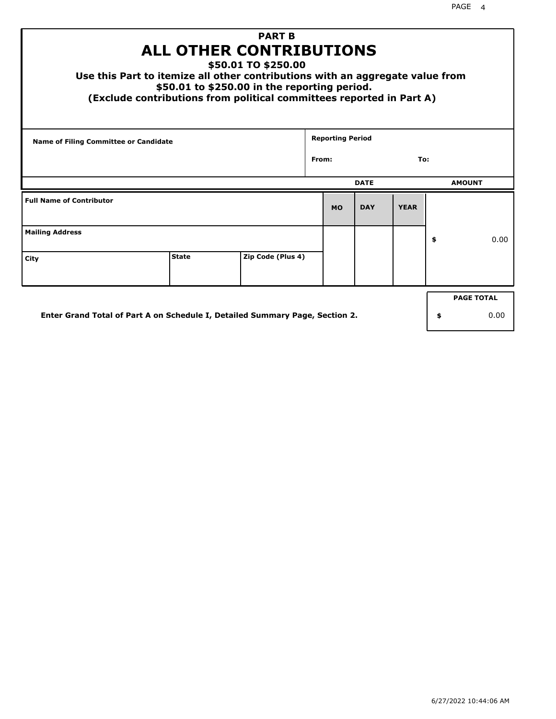| <b>PART B</b><br><b>ALL OTHER CONTRIBUTIONS</b><br>\$50.01 TO \$250.00<br>Use this Part to itemize all other contributions with an aggregate value from<br>\$50.01 to \$250.00 in the reporting period.<br>(Exclude contributions from political committees reported in Part A) |              |                   |       |                         |             |             |    |                   |  |
|---------------------------------------------------------------------------------------------------------------------------------------------------------------------------------------------------------------------------------------------------------------------------------|--------------|-------------------|-------|-------------------------|-------------|-------------|----|-------------------|--|
| <b>Name of Filing Committee or Candidate</b>                                                                                                                                                                                                                                    |              |                   |       | <b>Reporting Period</b> |             |             |    |                   |  |
|                                                                                                                                                                                                                                                                                 |              |                   | From: |                         |             | To:         |    |                   |  |
|                                                                                                                                                                                                                                                                                 |              |                   |       |                         | <b>DATE</b> |             |    | <b>AMOUNT</b>     |  |
| <b>Full Name of Contributor</b>                                                                                                                                                                                                                                                 |              |                   |       | <b>MO</b>               | <b>DAY</b>  | <b>YEAR</b> |    |                   |  |
| <b>Mailing Address</b>                                                                                                                                                                                                                                                          |              |                   |       |                         |             |             | \$ | 0.00              |  |
| City                                                                                                                                                                                                                                                                            | <b>State</b> | Zip Code (Plus 4) |       |                         |             |             |    |                   |  |
|                                                                                                                                                                                                                                                                                 |              |                   |       |                         |             |             |    | <b>PAGE TOTAL</b> |  |
| Enter Grand Total of Part A on Schedule I, Detailed Summary Page, Section 2.                                                                                                                                                                                                    |              |                   |       |                         |             |             | \$ | 0.00              |  |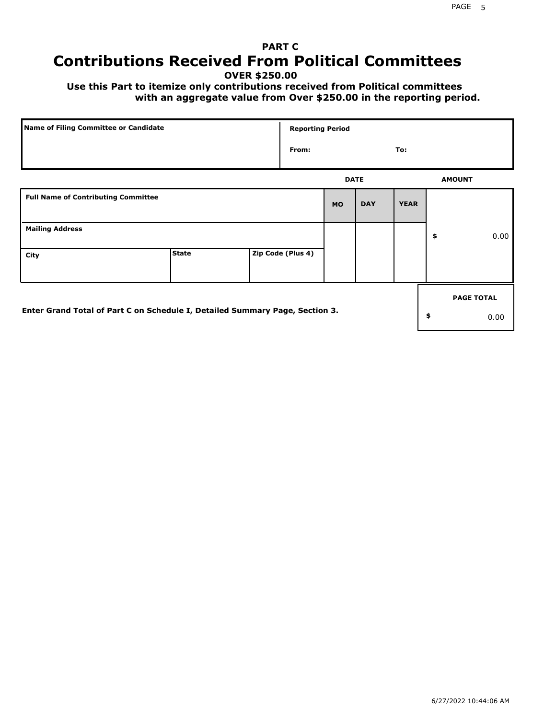# **PART C Contributions Received From Political Committees**

**OVER \$250.00**

 **Use this Part to itemize only contributions received from Political committees with an aggregate value from Over \$250.00 in the reporting period.**

| Name of Filing Committee or Candidate                                        |              | <b>Reporting Period</b> |             |            |             |                   |
|------------------------------------------------------------------------------|--------------|-------------------------|-------------|------------|-------------|-------------------|
|                                                                              |              | From:                   |             |            | To:         |                   |
|                                                                              |              |                         | <b>DATE</b> |            |             | <b>AMOUNT</b>     |
| <b>Full Name of Contributing Committee</b>                                   |              |                         | <b>MO</b>   | <b>DAY</b> | <b>YEAR</b> |                   |
| <b>Mailing Address</b>                                                       |              |                         |             |            |             | \$<br>0.00        |
| City                                                                         | <b>State</b> | Zip Code (Plus 4)       |             |            |             |                   |
|                                                                              |              |                         |             |            |             | <b>PAGE TOTAL</b> |
| Enter Grand Total of Part C on Schedule I, Detailed Summary Page, Section 3. |              |                         |             |            |             | \$<br>0.00        |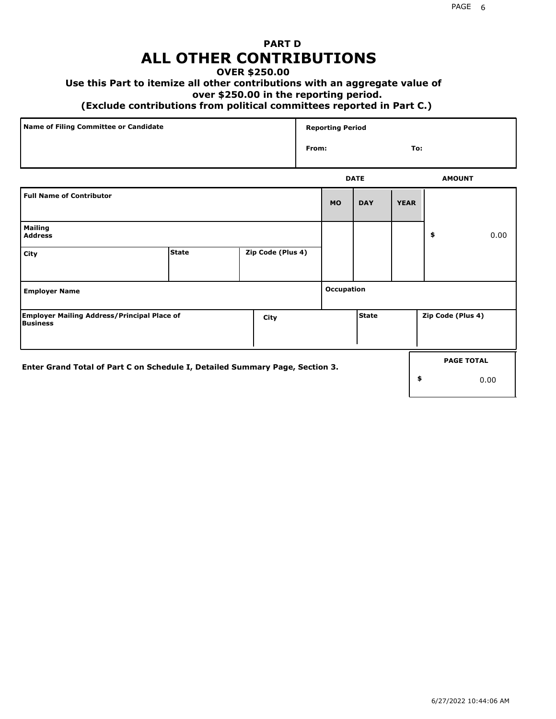# **PART D ALL OTHER CONTRIBUTIONS**

### **OVER \$250.00**

## **Use this Part to itemize all other contributions with an aggregate value of**

#### **over \$250.00 in the reporting period.**

#### **(Exclude contributions from political committees reported in Part C.)**

| Name of Filing Committee or Candidate | <b>Reporting Period</b> |     |
|---------------------------------------|-------------------------|-----|
|                                       | From:                   | To: |
|                                       |                         |     |

|                                                                              |              |                   |                   | <b>DATE</b>  |             | <b>AMOUNT</b>     |
|------------------------------------------------------------------------------|--------------|-------------------|-------------------|--------------|-------------|-------------------|
| <b>Full Name of Contributor</b>                                              |              |                   | <b>MO</b>         | <b>DAY</b>   | <b>YEAR</b> |                   |
| <b>Mailing</b><br><b>Address</b>                                             |              |                   |                   |              |             | \$<br>0.00        |
| City                                                                         | <b>State</b> | Zip Code (Plus 4) |                   |              |             |                   |
| <b>Employer Name</b>                                                         |              |                   | <b>Occupation</b> |              |             |                   |
| <b>Employer Mailing Address/Principal Place of</b><br>Business               |              | City              |                   | <b>State</b> |             | Zip Code (Plus 4) |
| Enter Grand Total of Part C on Schedule I, Detailed Summary Page, Section 3. |              |                   |                   |              |             | <b>PAGE TOTAL</b> |
|                                                                              |              |                   |                   |              |             | \$<br>0.00        |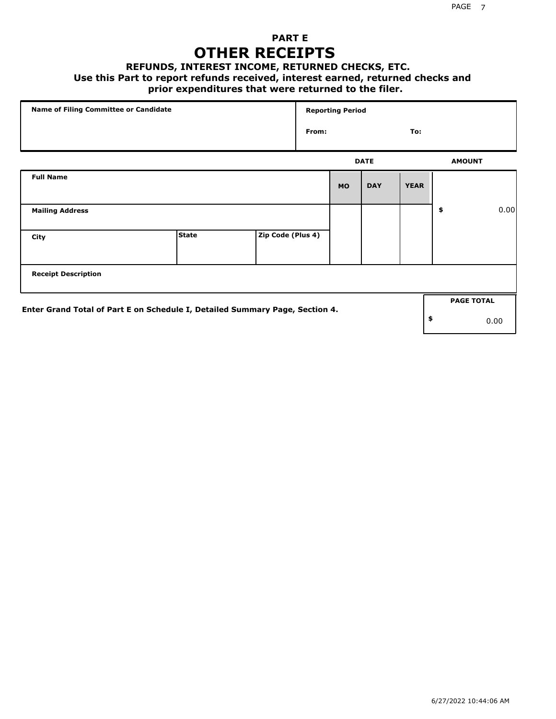## **PART E OTHER RECEIPTS**

#### **REFUNDS, INTEREST INCOME, RETURNED CHECKS, ETC.**

 **Use this Part to report refunds received, interest earned, returned checks and**

## **prior expenditures that were returned to the filer.**

| Name of Filing Committee or Candidate                                        |              |                   |  | <b>Reporting Period</b> |             |             |    |                   |      |
|------------------------------------------------------------------------------|--------------|-------------------|--|-------------------------|-------------|-------------|----|-------------------|------|
|                                                                              |              |                   |  |                         |             | To:         |    |                   |      |
|                                                                              |              |                   |  |                         | <b>DATE</b> |             |    | <b>AMOUNT</b>     |      |
| <b>Full Name</b>                                                             |              |                   |  | <b>MO</b>               | <b>DAY</b>  | <b>YEAR</b> |    |                   |      |
| <b>Mailing Address</b>                                                       |              |                   |  |                         |             |             | \$ |                   | 0.00 |
| City                                                                         | <b>State</b> | Zip Code (Plus 4) |  |                         |             |             |    |                   |      |
| <b>Receipt Description</b>                                                   |              |                   |  |                         |             |             |    |                   |      |
| Enter Grand Total of Part E on Schedule I, Detailed Summary Page, Section 4. |              |                   |  |                         |             |             |    | <b>PAGE TOTAL</b> |      |
|                                                                              |              |                   |  |                         |             |             | \$ | 0.00              |      |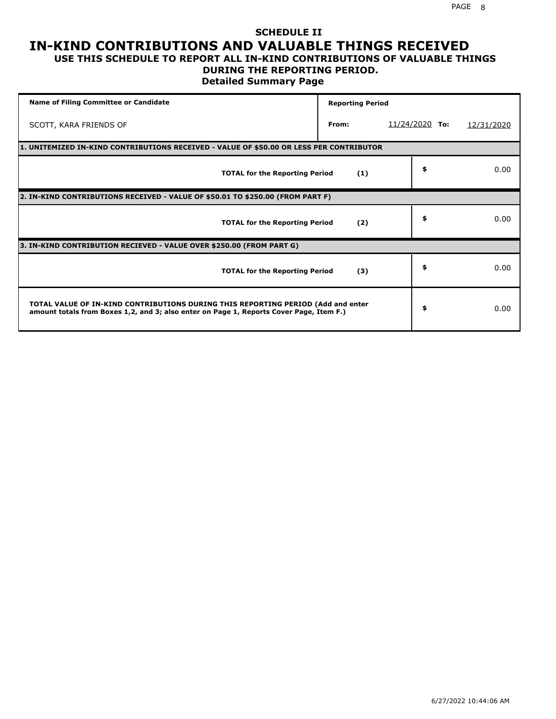#### **SCHEDULE II IN-KIND CONTRIBUTIONS AND VALUABLE THINGS RECEIVED USE THIS SCHEDULE TO REPORT ALL IN-KIND CONTRIBUTIONS OF VALUABLE THINGS**

### **DURING THE REPORTING PERIOD.**

**Detailed Summary Page**

| <b>Name of Filing Committee or Candidate</b>                                                                                                                                | <b>Reporting Period</b> |                |            |
|-----------------------------------------------------------------------------------------------------------------------------------------------------------------------------|-------------------------|----------------|------------|
| SCOTT, KARA FRIENDS OF                                                                                                                                                      | From:                   | 11/24/2020 To: | 12/31/2020 |
| 1. UNITEMIZED IN-KIND CONTRIBUTIONS RECEIVED - VALUE OF \$50.00 OR LESS PER CONTRIBUTOR                                                                                     |                         |                |            |
| <b>TOTAL for the Reporting Period</b>                                                                                                                                       | (1)                     | \$             | 0.00       |
| 2. IN-KIND CONTRIBUTIONS RECEIVED - VALUE OF \$50.01 TO \$250.00 (FROM PART F)                                                                                              |                         |                |            |
| <b>TOTAL for the Reporting Period</b>                                                                                                                                       | (2)                     | \$             | 0.00       |
| 3. IN-KIND CONTRIBUTION RECIEVED - VALUE OVER \$250.00 (FROM PART G)                                                                                                        |                         |                |            |
| <b>TOTAL for the Reporting Period</b>                                                                                                                                       | (3)                     | \$             | 0.00       |
| TOTAL VALUE OF IN-KIND CONTRIBUTIONS DURING THIS REPORTING PERIOD (Add and enter<br>amount totals from Boxes 1,2, and 3; also enter on Page 1, Reports Cover Page, Item F.) |                         | \$             | 0.00       |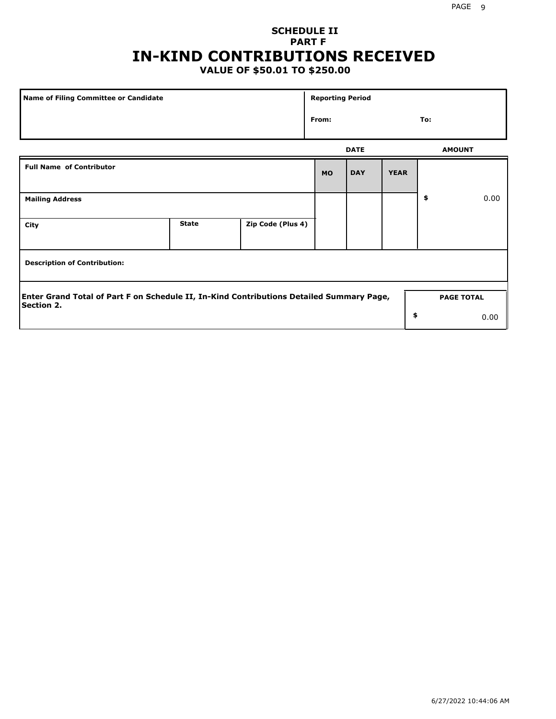# **SCHEDULE II PART F IN-KIND CONTRIBUTIONS RECEIVED**

# **VALUE OF \$50.01 TO \$250.00**

| Name of Filing Committee or Candidate                                                                         |              |                   | <b>Reporting Period</b> |             |             |                   |      |
|---------------------------------------------------------------------------------------------------------------|--------------|-------------------|-------------------------|-------------|-------------|-------------------|------|
| From:                                                                                                         |              |                   |                         |             |             | To:               |      |
|                                                                                                               |              |                   |                         | <b>DATE</b> |             | <b>AMOUNT</b>     |      |
| <b>Full Name of Contributor</b>                                                                               |              |                   | <b>MO</b>               | <b>DAY</b>  | <b>YEAR</b> |                   |      |
| <b>Mailing Address</b>                                                                                        |              |                   |                         |             |             | \$                | 0.00 |
| City                                                                                                          | <b>State</b> | Zip Code (Plus 4) |                         |             |             |                   |      |
| <b>Description of Contribution:</b>                                                                           |              |                   |                         |             |             |                   |      |
| Enter Grand Total of Part F on Schedule II, In-Kind Contributions Detailed Summary Page,<br><b>Section 2.</b> |              |                   |                         |             |             | <b>PAGE TOTAL</b> |      |
|                                                                                                               |              |                   |                         |             | \$          |                   | 0.00 |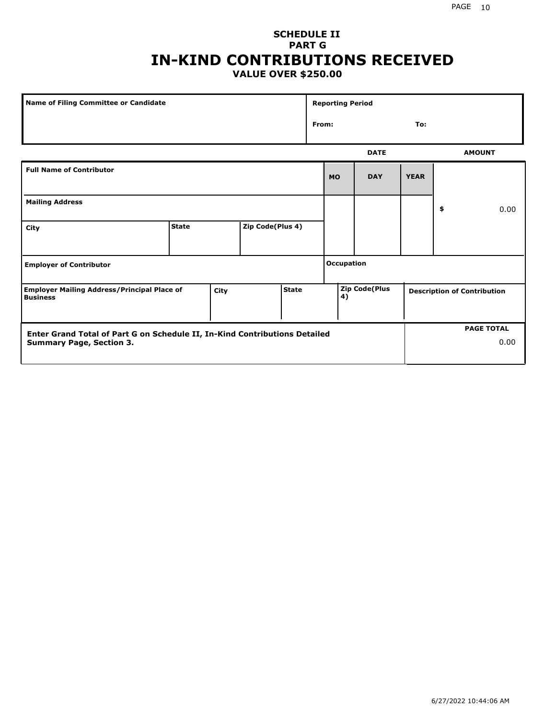### **SCHEDULE II PART G IN-KIND CONTRIBUTIONS RECEIVED VALUE OVER \$250.00**

| Name of Filing Committee or Candidate                                 |              |      |                  | <b>Reporting Period</b> |              |                      |             |    |                                    |
|-----------------------------------------------------------------------|--------------|------|------------------|-------------------------|--------------|----------------------|-------------|----|------------------------------------|
|                                                                       |              |      |                  |                         | From:<br>To: |                      |             |    |                                    |
|                                                                       |              |      |                  |                         |              | <b>DATE</b>          |             |    | <b>AMOUNT</b>                      |
| <b>Full Name of Contributor</b>                                       |              |      |                  |                         | <b>MO</b>    | <b>DAY</b>           | <b>YEAR</b> |    |                                    |
| <b>Mailing Address</b>                                                |              |      |                  |                         |              |                      |             | \$ | 0.00                               |
| City                                                                  | <b>State</b> |      | Zip Code(Plus 4) |                         |              |                      |             |    |                                    |
| <b>Employer of Contributor</b>                                        |              |      |                  | <b>Occupation</b>       |              |                      |             |    |                                    |
| <b>Employer Mailing Address/Principal Place of</b><br><b>Business</b> |              | City |                  | State                   | 4)           | <b>Zip Code(Plus</b> |             |    | <b>Description of Contribution</b> |

| <b>Enter Grand Total of Part G on Schedule II, In-Kind Contributions Detailed</b> |  | <b>PAGE TOTAL</b> |
|-----------------------------------------------------------------------------------|--|-------------------|
| <b>Summary Page, Section 3.</b>                                                   |  | 0.00              |
|                                                                                   |  |                   |